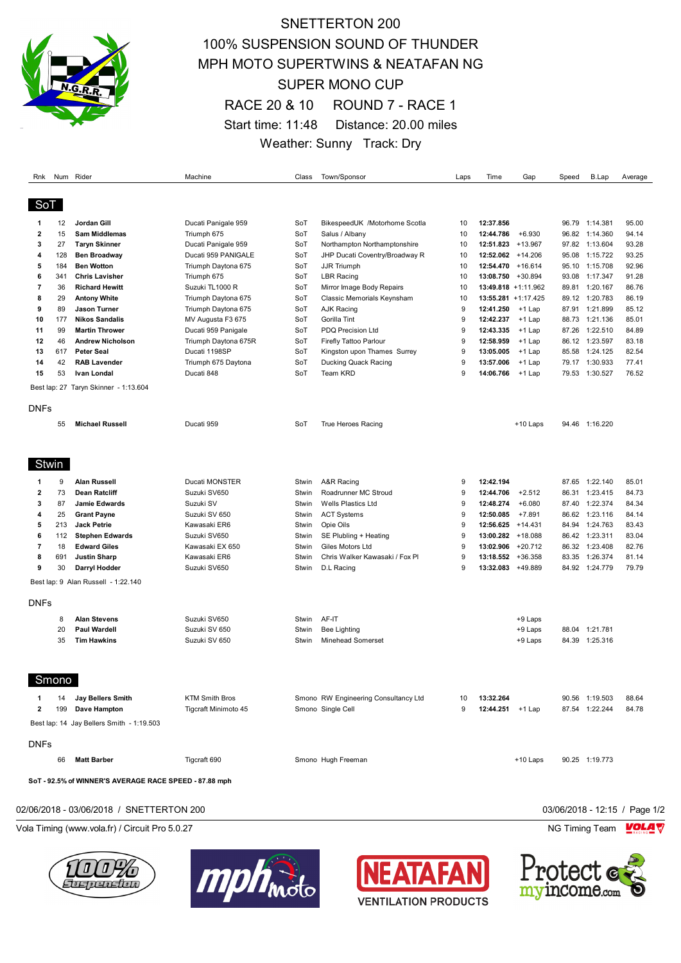

## SNETTERTON 200 100% SUSPENSION SOUND OF THUNDER MPH MOTO SUPERTWINS & NEATAFAN NG SUPER MONO CUP RACE 20 & 10 ROUND 7 - RACE 1 Start time: 11:48 Distance: 20.00 miles Weather: Sunny Track: Dry

| Rnk          |       | Num Rider                                              | Machine               | Class | Town/Sponsor                         | Laps | Time                   | Gap        | Speed | <b>B.Lap</b>   | Average |
|--------------|-------|--------------------------------------------------------|-----------------------|-------|--------------------------------------|------|------------------------|------------|-------|----------------|---------|
| SoT          |       |                                                        |                       |       |                                      |      |                        |            |       |                |         |
| 1            | 12    | Jordan Gill                                            | Ducati Panigale 959   | SoT   | BikespeedUK /Motorhome Scotla        | 10   | 12:37.856              |            |       | 96.79 1:14.381 | 95.00   |
| $\mathbf{2}$ | 15    | <b>Sam Middlemas</b>                                   | Triumph 675           | SoT   | Salus / Albany                       | 10   | 12:44.786              | $+6.930$   |       | 96.82 1:14.360 | 94.14   |
| 3            | 27    | <b>Taryn Skinner</b>                                   | Ducati Panigale 959   | SoT   | Northampton Northamptonshire         | 10   | 12:51.823              | $+13.967$  |       | 97.82 1:13.604 | 93.28   |
| 4            | 128   | <b>Ben Broadway</b>                                    | Ducati 959 PANIGALE   | SoT   | JHP Ducati Coventry/Broadway R       | 10   | 12:52.062 +14.206      |            |       | 95.08 1:15.722 | 93.25   |
| 5            | 184   | <b>Ben Wotton</b>                                      | Triumph Daytona 675   | SoT   | <b>JJR Triumph</b>                   | 10   | 12:54.470 +16.614      |            |       | 95.10 1:15.708 | 92.96   |
| 6            | 341   | <b>Chris Lavisher</b>                                  | Triumph 675           | SoT   | <b>LBR Racing</b>                    | 10   | 13:08.750 +30.894      |            | 93.08 | 1:17.347       | 91.28   |
| 7            | 36    | <b>Richard Hewitt</b>                                  | Suzuki TL1000 R       | SoT   | Mirror Image Body Repairs            | 10   | 13:49.818 +1:11.962    |            |       | 89.81 1:20.167 | 86.76   |
| 8            | 29    | <b>Antony White</b>                                    | Triumph Daytona 675   | SoT   | Classic Memorials Keynsham           | 10   | $13:55.281 + 1:17.425$ |            |       | 89.12 1:20.783 | 86.19   |
| 9            | 89    | <b>Jason Turner</b>                                    | Triumph Daytona 675   | SoT   | <b>AJK Racing</b>                    | 9    | 12:41.250              | +1 Lap     |       | 87.91 1:21.899 | 85.12   |
| 10           | 177   | <b>Nikos Sandalis</b>                                  | MV Augusta F3 675     | SoT   | Gorilla Tint                         | 9    | 12:42.237              | +1 Lap     | 88.73 | 1:21.136       | 85.01   |
| 11           | 99    | <b>Martin Thrower</b>                                  | Ducati 959 Panigale   | SoT   | <b>PDQ Precision Ltd</b>             | 9    | 12:43.335              | +1 Lap     |       | 87.26 1:22.510 | 84.89   |
| 12           | 46    | <b>Andrew Nicholson</b>                                | Triumph Daytona 675R  | SoT   | Firefly Tattoo Parlour               | 9    | 12:58.959              | +1 Lap     |       | 86.12 1:23.597 | 83.18   |
| 13           | 617   | <b>Peter Seal</b>                                      | Ducati 1198SP         | SoT   | Kingston upon Thames Surrey          | 9    | 13:05.005              | +1 Lap     |       | 85.58 1:24.125 | 82.54   |
| 14           | 42    | <b>RAB Lavender</b>                                    | Triumph 675 Daytona   | SoT   | Ducking Quack Racing                 | 9    | 13:57.006              | +1 Lap     | 79.17 | 1:30.933       | 77.41   |
| 15           | 53    | Ivan Londal                                            | Ducati 848            | SoT   | Team KRD                             | 9    | 14:06.766              | $+1$ Lap   | 79.53 | 1:30.527       | 76.52   |
|              |       | Best lap: 27 Taryn Skinner - 1:13.604                  |                       |       |                                      |      |                        |            |       |                |         |
| <b>DNFs</b>  | 55    | <b>Michael Russell</b>                                 | Ducati 959            | SoT   | True Heroes Racing                   |      |                        | +10 Laps   |       | 94.46 1:16.220 |         |
| Stwin        |       |                                                        |                       |       |                                      |      |                        |            |       |                |         |
| 1            | 9     | <b>Alan Russell</b>                                    | Ducati MONSTER        | Stwin | A&R Racing                           | 9    | 12:42.194              |            |       | 87.65 1:22.140 | 85.01   |
| $\mathbf{2}$ | 73    | <b>Dean Ratcliff</b>                                   | Suzuki SV650          | Stwin | Roadrunner MC Stroud                 | 9    | 12:44.706              | $+2.512$   |       | 86.31 1:23.415 | 84.73   |
| 3            | 87    | Jamie Edwards                                          | Suzuki SV             | Stwin | Wells Plastics Ltd                   | 9    | 12:48.274              | $+6.080$   | 87.40 | 1:22.374       | 84.34   |
| 4            | 25    | <b>Grant Payne</b>                                     | Suzuki SV 650         | Stwin | <b>ACT Systems</b>                   | 9    | 12:50.085              | $+7.891$   |       | 86.62 1:23.116 | 84.14   |
| 5            | 213   | <b>Jack Petrie</b>                                     | Kawasaki ER6          | Stwin | Opie Oils                            | 9    | 12:56.625 +14.431      |            | 84.94 | 1:24.763       | 83.43   |
| 6            | 112   | <b>Stephen Edwards</b>                                 | Suzuki SV650          | Stwin | SE Plubling + Heating                | 9    | 13:00.282 +18.088      |            |       | 86.42 1:23.311 | 83.04   |
| 7            | 18    | <b>Edward Giles</b>                                    | Kawasaki EX 650       | Stwin | Giles Motors Ltd                     | 9    | 13:02.906              | $+20.712$  | 86.32 | 1:23.408       | 82.76   |
| 8            | 691   | <b>Justin Sharp</b>                                    | Kawasaki ER6          | Stwin | Chris Walker Kawasaki / Fox Pl       | 9    | 13:18.552 +36.358      |            |       | 83.35 1:26.374 | 81.14   |
| 9            | 30    | Darryl Hodder                                          | Suzuki SV650          | Stwin | D.L Racing                           | 9    | 13:32.083              | +49.889    | 84.92 | 1:24.779       | 79.79   |
|              |       | Best lap: 9 Alan Russell - 1:22.140                    |                       |       |                                      |      |                        |            |       |                |         |
| <b>DNFs</b>  |       |                                                        |                       |       |                                      |      |                        |            |       |                |         |
|              | 8     | <b>Alan Stevens</b>                                    | Suzuki SV650          | Stwin | AF-IT                                |      |                        | +9 Laps    |       |                |         |
|              | 20    | <b>Paul Wardell</b>                                    | Suzuki SV 650         | Stwin | <b>Bee Lighting</b>                  |      |                        | +9 Laps    |       | 88.04 1:21.781 |         |
|              | 35    | <b>Tim Hawkins</b>                                     | Suzuki SV 650         | Stwin | Minehead Somerset                    |      |                        | +9 Laps    |       | 84.39 1:25.316 |         |
|              | Smono |                                                        |                       |       |                                      |      |                        |            |       |                |         |
| 1            | 14    | Jay Bellers Smith                                      | <b>KTM Smith Bros</b> |       | Smono RW Engineering Consultancy Ltd | 10   | 13:32.264              |            |       | 90.56 1:19.503 | 88.64   |
| 2            | 199   | Dave Hampton                                           | Tigcraft Minimoto 45  |       | Smono Single Cell                    | 9    | 12:44.251 +1 Lap       |            |       | 87.54 1:22.244 | 84.78   |
|              |       | Best lap: 14 Jay Bellers Smith - 1:19.503              |                       |       |                                      |      |                        |            |       |                |         |
| <b>DNFs</b>  |       |                                                        |                       |       |                                      |      |                        |            |       |                |         |
|              | 66    | <b>Matt Barber</b>                                     | Tigcraft 690          |       | Smono Hugh Freeman                   |      |                        | $+10$ Laps |       | 90.25 1:19.773 |         |
|              |       | SoT - 92.5% of WINNER'S AVERAGE RACE SPEED - 87.88 mph |                       |       |                                      |      |                        |            |       |                |         |

#### 02/06/2018 - 03/06/2018 / SNETTERTON 200 03/06/2018 - 12:15 / Page 1/2

Vola Timing (www.vola.fr) / Circuit Pro 5.0.27 **NG Timing Team MOLA View Account Property** NG Timing Team MOLA View







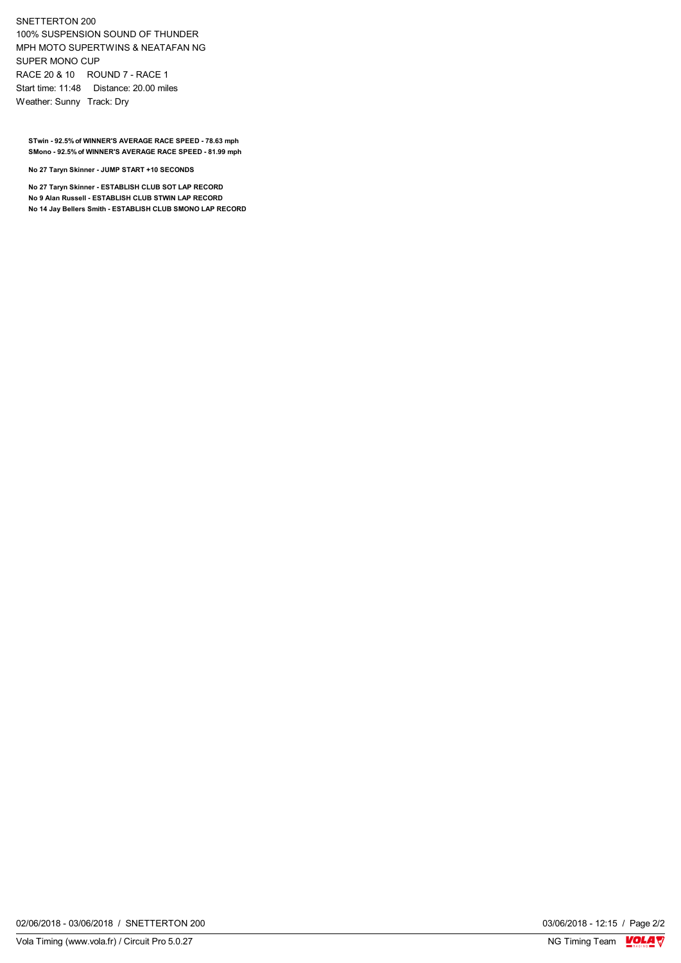#### SNETTERTON 200 100% SUSPENSION SOUND OF THUNDER MPH MOTO SUPERTWINS & NEATAFAN NG SUPER MONO CUP RACE 20 & 10 ROUND 7 - RACE 1 Start time: 11:48 Distance: 20.00 miles Weather: Sunny Track: Dry

**STwin - 92.5% of WINNER'S AVERAGE RACE SPEED - 78.63 mph SMono - 92.5% of WINNER'S AVERAGE RACE SPEED - 81.99 mph**

**No 27 Taryn Skinner - JUMP START +10 SECONDS**

**No 27 Taryn Skinner - ESTABLISH CLUB SOT LAP RECORD No 9 Alan Russell - ESTABLISH CLUB STWIN LAP RECORD No 14 Jay Bellers Smith - ESTABLISH CLUB SMONO LAP RECORD**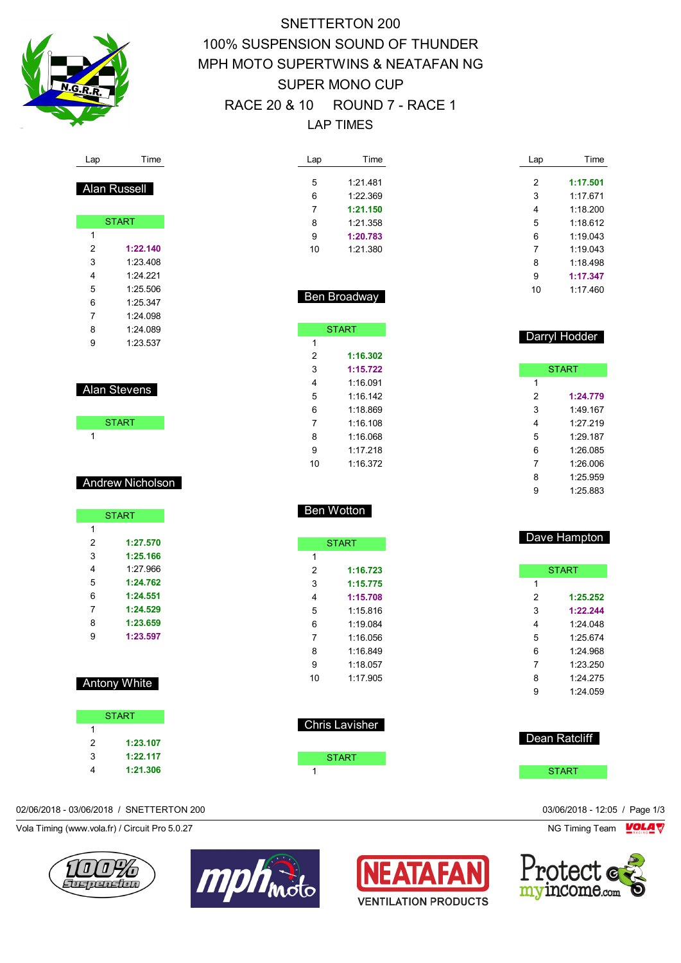

Lap Time

Alan Russell

START

 **1:22.140** 1:23.408 1:24.221 1:25.506 1:25.347 1:24.098 1:24.089 1:23.537

Alan Stevens

**START** 

Andrew Nicholson

**START** 

 **1:27.570 1:25.166** 1:27.966 **1:24.762 1:24.551 1:24.529 1:23.659 1:23.597**

# SNETTERTON 200 100% SUSPENSION SOUND OF THUNDER MPH MOTO SUPERTWINS & NEATAFAN NG SUPER MONO CUP RACE 20 & 10 ROUND 7 - RACE 1 LAP TIMES

| Lap            | Time           | Lap            | Time          |
|----------------|----------------|----------------|---------------|
| 5              | 1:21.481       | 2              | 1:17.501      |
| 6              | 1:22.369       | 3              | 1:17.671      |
| 7              | 1:21.150       | 4              | 1:18.200      |
| 8              | 1:21.358       | 5              | 1:18.612      |
| 9              | 1:20.783       | 6              | 1:19.043      |
| 10             | 1:21.380       | 7              | 1:19.043      |
|                |                | 8              | 1:18.498      |
|                |                | 9              | 1:17.347      |
|                |                | 10             | 1:17.460      |
|                | Ben Broadway   |                |               |
|                | <b>START</b>   |                |               |
| 1              |                |                | Darryl Hodder |
| $\overline{2}$ | 1:16.302       |                |               |
| 3              | 1:15.722       |                | <b>START</b>  |
| 4              | 1:16.091       | 1              |               |
| 5              | 1:16.142       | $\overline{2}$ | 1:24.779      |
| 6              | 1:18.869       | 3              | 1:49.167      |
| $\overline{7}$ | 1:16.108       | 4              | 1:27.219      |
| 8              | 1:16.068       | 5              | 1:29.187      |
| 9              | 1:17.218       | 6              | 1:26.085      |
| 10             | 1:16.372       | 7              | 1:26.006      |
|                |                | 8              | 1:25.959      |
|                |                | 9              | 1:25.883      |
| Ben Wotton     |                |                |               |
|                |                |                | Dave Hampton  |
| 1              | <b>START</b>   |                |               |
| $\overline{2}$ | 1:16.723       |                | <b>START</b>  |
| 3              | 1:15.775       | 1              |               |
| 4              | 1:15.708       | $\overline{2}$ | 1:25.252      |
| 5              | 1:15.816       | 3              | 1:22.244      |
| 6              | 1:19.084       | 4              | 1:24.048      |
| $\overline{7}$ | 1:16.056       | 5              | 1:25.674      |
| 8              | 1:16.849       | 6              | 1:24.968      |
| 9              | 1:18.057       | 7              | 1:23.250      |
| 10             | 1:17.905       | 8              | 1:24.275      |
|                |                | 9              | 1:24.059      |
|                |                |                |               |
|                | Chris Lavisher |                |               |
|                |                |                | Dean Ratcliff |
|                | <b>START</b>   |                |               |

02/06/2018 - 03/06/2018 / SNETTERTON 200 03/06/2018 - 12:05 / Page 1/3

Antony White

**START** 

 **1:23.107 1:22.117 1:21.306**

 $\overline{1}$ 

Vola Timing (www.vola.fr) / Circuit Pro 5.0.27 NG Timing Team Motors NG Timing Team Motors NG Timing Team MOLA







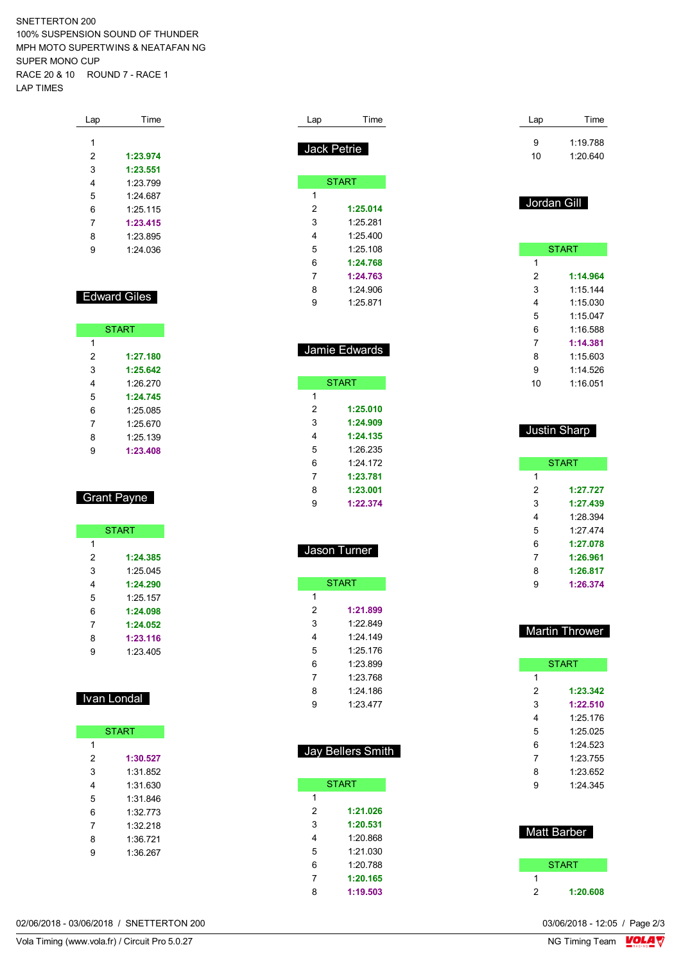SNETTERTON 200 100% SUSPENSION SOUND OF THUNDER MPH MOTO SUPERTWINS & NEATAFAN NG SUPER MONO CUP RACE 20 & 10 ROUND 7 - RACE 1 LAP TIMES

| Time     |
|----------|
|          |
| 1:23.974 |
| 1:23.551 |
| 1.23 799 |
| 1.24 687 |
| 1.25115  |
| 1:23.415 |
| 1.23895  |
| 1.24036  |
|          |

#### Edward Giles

|               | <b>START</b> |  |  |
|---------------|--------------|--|--|
| 1             |              |  |  |
| 2<br>1:27.180 |              |  |  |
| 3<br>1:25.642 |              |  |  |
| 1.26.270<br>4 |              |  |  |
| 5<br>1.24 745 |              |  |  |
| 6<br>1.25 085 |              |  |  |
| 7<br>1.25 670 |              |  |  |
| 1:25.139<br>8 |              |  |  |
| 1:23.408<br>q |              |  |  |

## Grant Payne

|   | <b>START</b> |
|---|--------------|
| 1 |              |
| 2 | 1:24.385     |
| 3 | 1.25 045     |
| 4 | 1:24.290     |
| 5 | 1.25 157     |
| 6 | 1:24.098     |
| 7 | 1:24.052     |
| 8 | 1:23.116     |
| 9 | 1.23405      |

#### Ivan Londal

| <b>START</b> |          |  |  |  |  |
|--------------|----------|--|--|--|--|
| 1            |          |  |  |  |  |
| 2            | 1:30.527 |  |  |  |  |
| 3            | 1:31 852 |  |  |  |  |
| 4            | 1:31 630 |  |  |  |  |
| 5            | 1:31.846 |  |  |  |  |
| 6            | 1:32 773 |  |  |  |  |
| 7            | 1:32 218 |  |  |  |  |
| 8            | 1:36.721 |  |  |  |  |
| 9            | 1:36 267 |  |  |  |  |

| Lap                     | Time              |  | Lap                 |              |
|-------------------------|-------------------|--|---------------------|--------------|
|                         |                   |  | 9                   | 1:19.        |
| Jack Petrie             |                   |  | 10                  | 1:20.        |
|                         |                   |  |                     |              |
|                         | <b>START</b>      |  |                     |              |
| 1                       |                   |  |                     |              |
| 2                       | 1:25.014          |  | Jordan Gill         |              |
| 3                       | 1:25.281          |  |                     |              |
| 4                       | 1:25.400          |  |                     |              |
| 5                       | 1:25.108          |  |                     | <b>START</b> |
| 6                       | 1:24.768          |  | 1                   |              |
| 7                       | 1:24.763          |  | 2                   | 1:14.        |
| 8                       | 1:24.906          |  | 3                   | 1:15.        |
| 9                       | 1:25.871          |  | 4                   | 1:15.        |
|                         |                   |  | 5                   | 1:15.        |
|                         |                   |  | 6                   | 1:16.        |
|                         | Jamie Edwards     |  | 7                   | 1:14.        |
|                         |                   |  | 8                   | 1:15         |
|                         |                   |  | 9                   | 1:14.        |
|                         | <b>START</b>      |  | 10                  | 1:16.        |
| 1                       |                   |  |                     |              |
| $\overline{\mathbf{c}}$ | 1:25.010          |  |                     |              |
| 3                       | 1:24.909          |  | <b>Justin Sharp</b> |              |
| 4                       | 1:24.135          |  |                     |              |
| 5                       | 1:26.235          |  |                     |              |
| 6                       | 1:24.172          |  |                     | <b>START</b> |
| $\overline{7}$          | 1:23.781          |  | 1                   |              |
| 8                       | 1:23.001          |  | $\overline{2}$      | 1:27.        |
| 9                       | 1:22.374          |  | 3                   | 1:27.        |
|                         |                   |  | 4                   | 1:28.        |
|                         |                   |  | 5                   | 1:27.        |
|                         | Jason Turner      |  | 6                   | 1:27.        |
|                         |                   |  | 7                   | 1:26.        |
|                         |                   |  | 8                   | 1:26.        |
|                         | <b>START</b>      |  | 9                   | 1:26.        |
| 1<br>2                  | 1:21.899          |  |                     |              |
| 3                       | 1:22.849          |  |                     |              |
| 4                       | 1:24.149          |  | <b>Martin Throv</b> |              |
| 5                       | 1:25.176          |  |                     |              |
| 6                       | 1:23.899          |  |                     | <b>START</b> |
| 7                       | 1:23.768          |  | 1                   |              |
| 8                       | 1:24.186          |  | $\boldsymbol{2}$    | 1:23.        |
| 9                       | 1:23.477          |  | 3                   | 1:22.        |
|                         |                   |  | 4                   | 1:25.        |
|                         |                   |  | 5                   | 1:25.        |
|                         |                   |  | 6                   | 1:24.        |
|                         | Jay Bellers Smith |  | 7                   | 1:23.        |
|                         |                   |  | 8                   | 1:23.        |
|                         | <b>START</b>      |  | 9                   | 1:24.        |
| 1                       |                   |  |                     |              |
| $\overline{\mathbf{c}}$ | 1:21.026          |  |                     |              |
| 3                       | 1:20.531          |  |                     |              |
| 4                       | 1:20.868          |  | <b>Matt Barber</b>  |              |
| 5                       | 1:21.030          |  |                     |              |
| 6                       | 1:20.788          |  |                     | <b>START</b> |
| 7                       | 1:20.165          |  | 1                   |              |

**1:19.503**

| 9  | 1:19.788 |
|----|----------|
| 10 | 1:20.640 |
|    |          |
|    |          |

Time

| <b>START</b> |          |  |  |  |
|--------------|----------|--|--|--|
| 1            |          |  |  |  |
| 2            | 1:14.964 |  |  |  |
| 3            | 1.15144  |  |  |  |
| 4            | 1.15030  |  |  |  |
| 5            | 1.15047  |  |  |  |
| 6            | 1:16.588 |  |  |  |
| 7            | 1:14.381 |  |  |  |
| 8            | 1:15 603 |  |  |  |
| 9            | 1.14526  |  |  |  |
| 10           | 1:16.051 |  |  |  |

| Justin Sharp |              |  |  |  |  |
|--------------|--------------|--|--|--|--|
|              |              |  |  |  |  |
|              | <b>START</b> |  |  |  |  |
| 1            |              |  |  |  |  |
| 2            | 1:27.727     |  |  |  |  |
| 3            | 1:27.439     |  |  |  |  |
| 4            | 1.28 394     |  |  |  |  |
| 5            | 1.274        |  |  |  |  |
| 6            | 1:27.078     |  |  |  |  |
| 7            | 1:26.961     |  |  |  |  |
| 8            | 1:26.817     |  |  |  |  |

## Thrower

**1:26.374**

| <b>START</b> |          |  |  |  |
|--------------|----------|--|--|--|
| 1            |          |  |  |  |
| 2            | 1:23.342 |  |  |  |
| 3            | 1:22.510 |  |  |  |
| 4            | 1.25176  |  |  |  |
| 5            | 1:25.025 |  |  |  |
| 6            | 1:24.523 |  |  |  |
| 7            | 1:23.755 |  |  |  |
| 8            | 1:23.652 |  |  |  |
| g            | 1:24.345 |  |  |  |
|              |          |  |  |  |

| <b>Matt Barber</b> |
|--------------------|
| <b>START</b>       |
|                    |

**1:20.608**

02/06/2018 - 03/06/2018 / SNETTERTON 200

Vola Timing (www.vola.fr) / Circuit Pro 5.0.27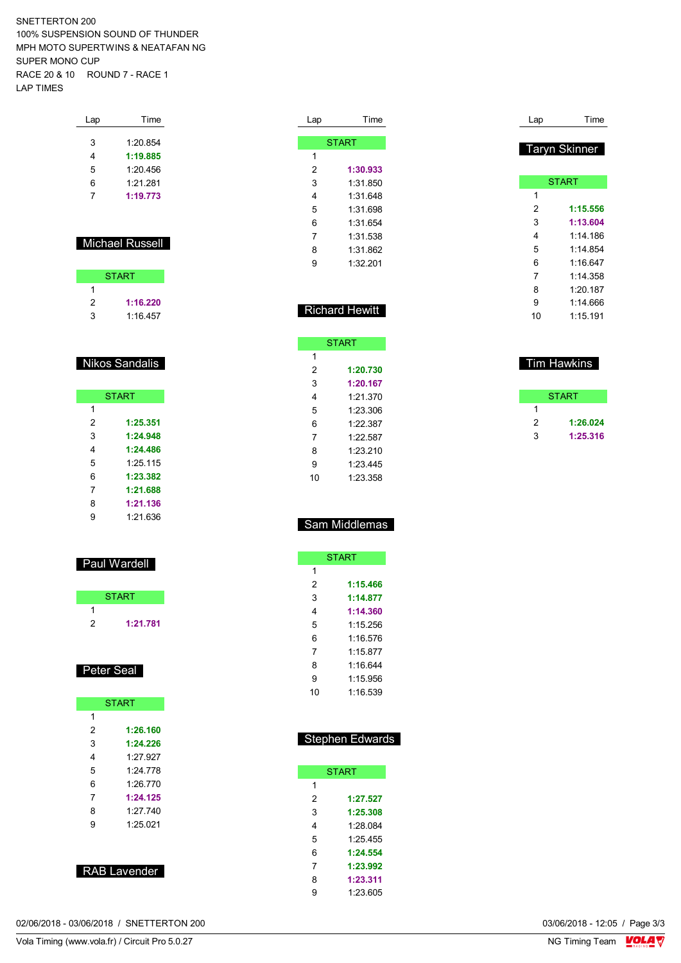SNETTERTON 200 100% SUSPENSION SOUND OF THUNDER MPH MOTO SUPERTWINS & NEATAFAN NG SUPER MONO CUP RACE 20 & 10 ROUND 7 - RACE 1 LAP TIMES

| Lap | Time     |
|-----|----------|
| 3   | 1:20.854 |
| 4   | 1:19.885 |
| 5   | 1:20.456 |
| 6   | 1.21281  |
| 7   | 1:19.773 |
|     |          |

#### Michael Russell

| <b>START</b> |          |  |  |  |  |  |  |  |  |  |
|--------------|----------|--|--|--|--|--|--|--|--|--|
|              |          |  |  |  |  |  |  |  |  |  |
| 2            | 1:16.220 |  |  |  |  |  |  |  |  |  |
| 3            | 1:16.457 |  |  |  |  |  |  |  |  |  |

#### Nikos Sandalis

|   | <b>START</b> |
|---|--------------|
| 1 |              |
| 2 | 1:25.351     |
| 3 | 1:24.948     |
| 4 | 1:24.486     |
| 5 | 1:25.115     |
| 6 | 1:23.382     |
| 7 | 1:21.688     |
| 8 | 1:21.136     |
| g | 1.21636      |

#### Paul Wardell

|   | <b>START</b> |  |
|---|--------------|--|
|   |              |  |
| 2 | 1:21.781     |  |

#### Peter Seal

| <b>START</b>  |  |  |  |  |  |  |  |  |  |  |
|---------------|--|--|--|--|--|--|--|--|--|--|
| 1             |  |  |  |  |  |  |  |  |  |  |
| 2<br>1:26.160 |  |  |  |  |  |  |  |  |  |  |
| 3<br>1:24.226 |  |  |  |  |  |  |  |  |  |  |
| 4<br>1.27 927 |  |  |  |  |  |  |  |  |  |  |
| 5<br>1.24 778 |  |  |  |  |  |  |  |  |  |  |
| 6<br>1.26770  |  |  |  |  |  |  |  |  |  |  |
| 7<br>1:24.125 |  |  |  |  |  |  |  |  |  |  |
| 1.27740<br>8  |  |  |  |  |  |  |  |  |  |  |
| 9<br>1.25 021 |  |  |  |  |  |  |  |  |  |  |
|               |  |  |  |  |  |  |  |  |  |  |
|               |  |  |  |  |  |  |  |  |  |  |

| Lap | Time         |
|-----|--------------|
|     |              |
|     | <b>START</b> |
| 1   |              |
| 2   | 1:30.933     |
| 3   | 1:31 850     |
| 4   | 1:31 648     |
| 5   | 1:31.698     |
| 6   | 1:31.654     |
| 7   | 1:31 538     |
| 8   | 1:31 862     |
| 9   | 1:32.201     |
|     |              |

### Richard Hewitt

|    | <b>START</b> |
|----|--------------|
| 1  |              |
| 2  | 1:20.730     |
| 3  | 1:20.167     |
| 4  | 1:21.370     |
| 5  | 1:23.306     |
| 6  | 1.22.387     |
| 7  | 1.22.587     |
| 8  | 1.23.210     |
| 9  | 1:23 445     |
| 10 | 1:23.358     |

# 1:20.187 1:14.666 1:15.191

Lap Time

Taryn Skinner

**START** 

 **1:15.556 1:13.604** 1:14.186 1:14.854 1:16.647 1:14.358

### **START**  $\overline{1}$  **1:26.024 1:25.316**

Tim Hawkins

### Sam Middlemas

|    | <b>START</b> |
|----|--------------|
| 1  |              |
| 2  | 1:15.466     |
| 3  | 1:14.877     |
| 4  | 1:14.360     |
| 5  | 1 15 256     |
| 6  | 1:16.576     |
| 7  | 1.15 877     |
| 8  | 1 16 644     |
| 9  | 1:15 956     |
| 10 | 1 16 539     |

#### Stephen Edwards

|   | <b>START</b> |
|---|--------------|
| 1 |              |
| 2 | 1:27.527     |
| 3 | 1:25.308     |
| 4 | 1.28 084     |
| 5 | 1.25455      |
| 6 | 1:24.554     |
| 7 | 1:23.992     |
| 8 | 1:23.311     |
| 9 | 1:23.605     |

02/06/2018 - 03/06/2018 / SNETTERTON 200

RAB Lavender

Vola Timing (www.vola.fr) / Circuit Pro 5.0.27

03/06/2018 - 12:05 / Page 3/3<br>NG Timing Team  $\frac{\text{VOLA}}{\text{V}}$